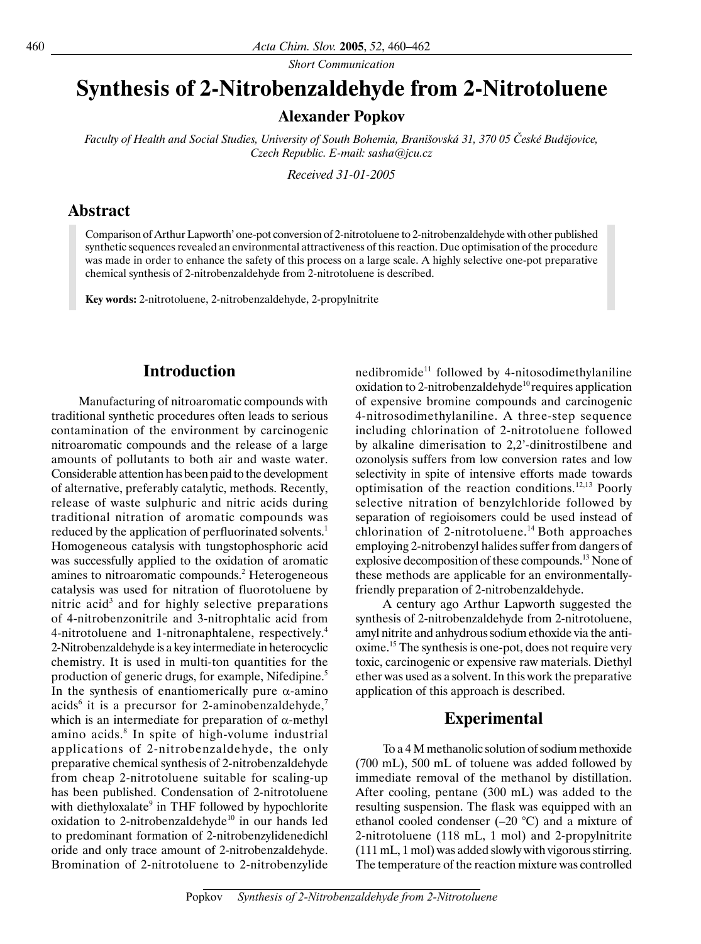*Short Communication*

# **Synthesis of 2-Nitrobenzaldehyde from 2-Nitrotoluene**

### **Alexander Popkov**

*Faculty of Health and Social Studies, University of South Bohemia, Branišovská 31, 370 05 České Budějovice, Czech Republic. E-mail: sasha@jcu.cz*

*Received 31-01-2005*

#### **Abstract**

Comparison of Arthur Lapworth' one-pot conversion of 2-nitrotoluene to 2-nitrobenzaldehyde with other published synthetic sequences revealed an environmental attractiveness of this reaction. Due optimisation of the procedure was made in order to enhance the safety of this process on a large scale. A highly selective one-pot preparative chemical synthesis of 2-nitrobenzaldehyde from 2-nitrotoluene is described.

**Key words:** 2-nitrotoluene, 2-nitrobenzaldehyde, 2-propylnitrite

# **Introduction**

Manufacturing of nitroaromatic compounds with traditional synthetic procedures often leads to serious contamination of the environment by carcinogenic nitroaromatic compounds and the release of a large amounts of pollutants to both air and waste water. Considerable attention has been paid to the development of alternative, preferably catalytic, methods. Recently, release of waste sulphuric and nitric acids during traditional nitration of aromatic compounds was reduced by the application of perfluorinated solvents.<sup>1</sup> Homogeneous catalysis with tungstophosphoric acid was successfully applied to the oxidation of aromatic amines to nitroaromatic compounds.<sup>2</sup> Heterogeneous catalysis was used for nitration of fluorotoluene by nitric acid<sup>3</sup> and for highly selective preparations of 4-nitrobenzonitrile and 3-nitrophtalic acid from 4-nitrotoluene and 1-nitronaphtalene, respectively.<sup>4</sup> 2-Nitrobenzaldehyde is a key intermediate in heterocyclic chemistry. It is used in multi-ton quantities for the production of generic drugs, for example, Nifedipine.<sup>5</sup> In the synthesis of enantiomerically pure  $\alpha$ -amino acids<sup>6</sup> it is a precursor for 2-aminobenzaldehyde,<sup>7</sup> which is an intermediate for preparation of  $\alpha$ -methyl amino acids.<sup>8</sup> In spite of high-volume industrial applications of 2-nitrobenzaldehyde, the only preparative chemical synthesis of 2-nitrobenzaldehyde from cheap 2-nitrotoluene suitable for scaling-up has been published. Condensation of 2-nitrotoluene with diethyloxalate<sup>9</sup> in THF followed by hypochlorite oxidation to 2-nitrobenzaldehyde<sup>10</sup> in our hands led to predominant formation of 2-nitrobenzylidenedichl oride and only trace amount of 2-nitrobenzaldehyde. Bromination of 2-nitrotoluene to 2-nitrobenzylide

nedibromide<sup>11</sup> followed by 4-nitosodimethylaniline oxidation to 2-nitrobenzaldehyde<sup>10</sup> requires application of expensive bromine compounds and carcinogenic 4-nitrosodimethylaniline. A three-step sequence including chlorination of 2-nitrotoluene followed by alkaline dimerisation to 2,2'-dinitrostilbene and ozonolysis suffers from low conversion rates and low selectivity in spite of intensive efforts made towards optimisation of the reaction conditions.12,13 Poorly selective nitration of benzylchloride followed by separation of regioisomers could be used instead of chlorination of 2-nitrotoluene.14 Both approaches employing 2-nitrobenzyl halides suffer from dangers of explosive decomposition of these compounds.13 None of these methods are applicable for an environmentallyfriendly preparation of 2-nitrobenzaldehyde.

A century ago Arthur Lapworth suggested the synthesis of 2-nitrobenzaldehyde from 2-nitrotoluene, amyl nitrite and anhydrous sodium ethoxide via the antioxime.15 The synthesis is one-pot, does not require very toxic, carcinogenic or expensive raw materials. Diethyl ether was used as a solvent. In this work the preparative application of this approach is described.

# **Experimental**

To a 4 M methanolic solution of sodium methoxide (700 mL), 500 mL of toluene was added followed by immediate removal of the methanol by distillation. After cooling, pentane (300 mL) was added to the resulting suspension. The flask was equipped with an ethanol cooled condenser  $(-20 \degree C)$  and a mixture of 2-nitrotoluene (118 mL, 1 mol) and 2-propylnitrite (111 mL, 1 mol) was added slowly with vigorous stirring. The temperature of the reaction mixture was controlled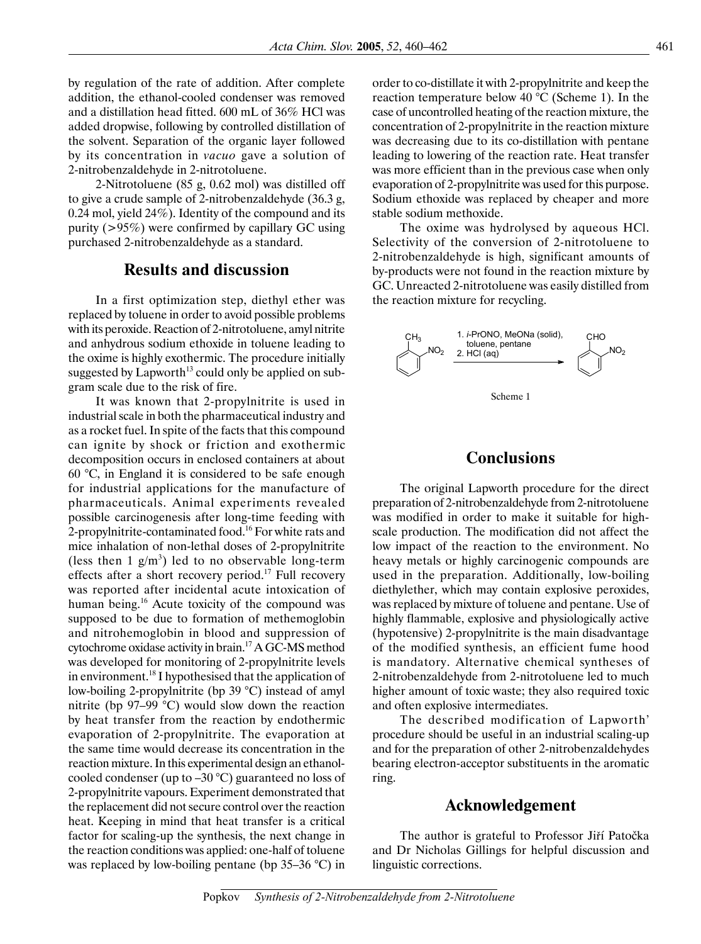by regulation of the rate of addition. After complete addition, the ethanol-cooled condenser was removed and a distillation head fitted. 600 mL of 36% HCl was added dropwise, following by controlled distillation of the solvent. Separation of the organic layer followed by its concentration in *vacuo* gave a solution of 2-nitrobenzaldehyde in 2-nitrotoluene.

2-Nitrotoluene (85 g, 0.62 mol) was distilled off to give a crude sample of 2-nitrobenzaldehyde (36.3 g, 0.24 mol, yield 24%). Identity of the compound and its purity (>95%) were confirmed by capillary GC using purchased 2-nitrobenzaldehyde as a standard.

#### **Results and discussion**

In a first optimization step, diethyl ether was replaced by toluene in order to avoid possible problems with its peroxide. Reaction of 2-nitrotoluene, amyl nitrite and anhydrous sodium ethoxide in toluene leading to the oxime is highly exothermic. The procedure initially suggested by Lapworth<sup>13</sup> could only be applied on subgram scale due to the risk of fire.

It was known that 2-propylnitrite is used in industrial scale in both the pharmaceutical industry and as a rocket fuel. In spite of the facts that this compound can ignite by shock or friction and exothermic decomposition occurs in enclosed containers at about 60 °C, in England it is considered to be safe enough for industrial applications for the manufacture of pharmaceuticals. Animal experiments revealed possible carcinogenesis after long-time feeding with 2-propylnitrite-contaminated food.<sup>16</sup> For white rats and mice inhalation of non-lethal doses of 2-propylnitrite (less then  $1 \text{ g/m}^3$ ) led to no observable long-term effects after a short recovery period.<sup>17</sup> Full recovery was reported after incidental acute intoxication of human being.<sup>16</sup> Acute toxicity of the compound was supposed to be due to formation of methemoglobin and nitrohemoglobin in blood and suppression of cytochrome oxidase activity in brain.17 A GC-MS method was developed for monitoring of 2-propylnitrite levels in environment.<sup>18</sup> I hypothesised that the application of low-boiling 2-propylnitrite (bp 39 °C) instead of amyl nitrite (bp 97–99 °C) would slow down the reaction by heat transfer from the reaction by endothermic evaporation of 2-propylnitrite. The evaporation at the same time would decrease its concentration in the reaction mixture. In this experimental design an ethanolcooled condenser (up to –30 °C) guaranteed no loss of 2-propylnitrite vapours. Experiment demonstrated that the replacement did not secure control over the reaction heat. Keeping in mind that heat transfer is a critical factor for scaling-up the synthesis, the next change in the reaction conditions was applied: one-half of toluene was replaced by low-boiling pentane (bp 35–36 °C) in

order to co-distillate it with 2-propylnitrite and keep the reaction temperature below 40 °C (Scheme 1). In the case of uncontrolled heating of the reaction mixture, the concentration of 2-propylnitrite in the reaction mixture was decreasing due to its co-distillation with pentane leading to lowering of the reaction rate. Heat transfer was more efficient than in the previous case when only evaporation of 2-propylnitrite was used for this purpose. Sodium ethoxide was replaced by cheaper and more stable sodium methoxide.

The oxime was hydrolysed by aqueous HCl. Selectivity of the conversion of 2-nitrotoluene to 2-nitrobenzaldehyde is high, significant amounts of by-products were not found in the reaction mixture by GC. Unreacted 2-nitrotoluene was easily distilled from the reaction mixture for recycling.



#### **Conclusions**

The original Lapworth procedure for the direct preparation of 2-nitrobenzaldehyde from 2-nitrotoluene was modified in order to make it suitable for highscale production. The modification did not affect the low impact of the reaction to the environment. No heavy metals or highly carcinogenic compounds are used in the preparation. Additionally, low-boiling diethylether, which may contain explosive peroxides, was replaced by mixture of toluene and pentane. Use of highly flammable, explosive and physiologically active (hypotensive) 2-propylnitrite is the main disadvantage of the modified synthesis, an efficient fume hood is mandatory. Alternative chemical syntheses of 2-nitrobenzaldehyde from 2-nitrotoluene led to much higher amount of toxic waste; they also required toxic and often explosive intermediates.

The described modification of Lapworth' procedure should be useful in an industrial scaling-up and for the preparation of other 2-nitrobenzaldehydes bearing electron-acceptor substituents in the aromatic ring.

#### **Acknowledgement**

The author is grateful to Professor Jiří Patočka and Dr Nicholas Gillings for helpful discussion and linguistic corrections.